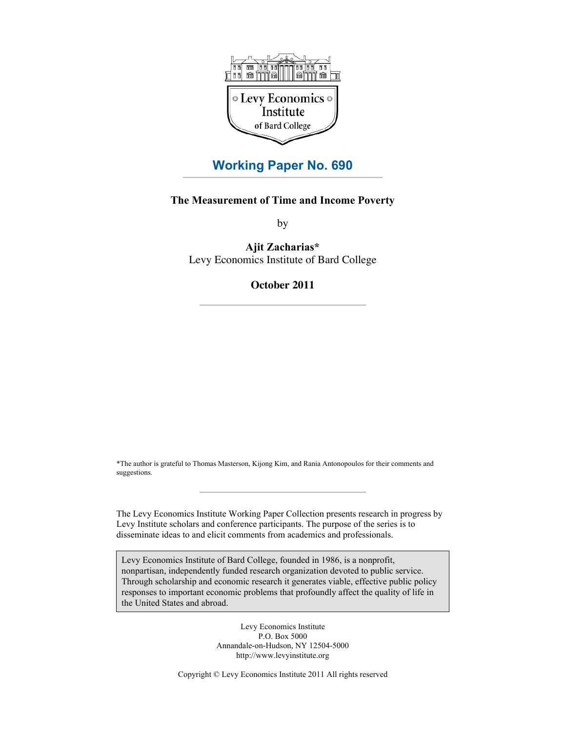

# **Working Paper No. 690**

## **The Measurement of Time and Income Poverty**

by

**Ajit Zacharias\*** Levy Economics Institute of Bard College

# **October 2011**

\*The author is grateful to Thomas Masterson, Kijong Kim, and Rania Antonopoulos for their comments and suggestions.

The Levy Economics Institute Working Paper Collection presents research in progress by Levy Institute scholars and conference participants. The purpose of the series is to disseminate ideas to and elicit comments from academics and professionals.

Levy Economics Institute of Bard College, founded in 1986, is a nonprofit, nonpartisan, independently funded research organization devoted to public service. Through scholarship and economic research it generates viable, effective public policy responses to important economic problems that profoundly affect the quality of life in the United States and abroad.

> Levy Economics Institute P.O. Box 5000 Annandale-on-Hudson, NY 12504-5000 http://www.levyinstitute.org

Copyright © Levy Economics Institute 2011 All rights reserved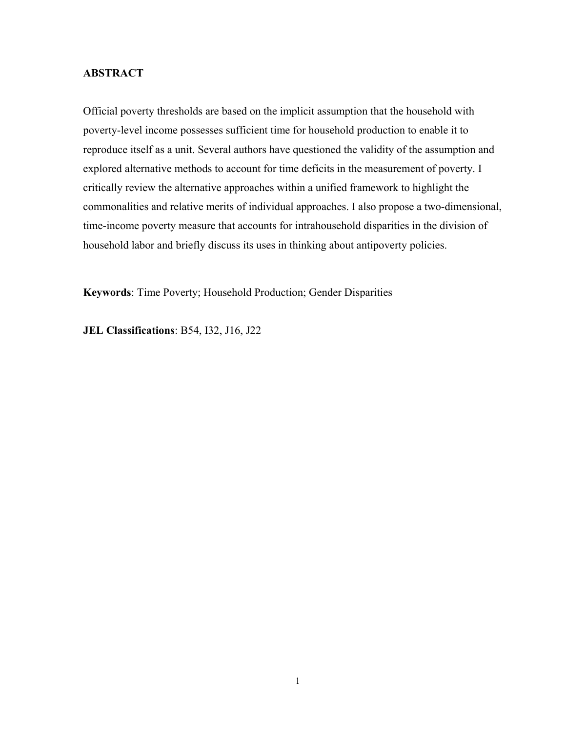# **ABSTRACT**

Official poverty thresholds are based on the implicit assumption that the household with poverty-level income possesses sufficient time for household production to enable it to reproduce itself as a unit. Several authors have questioned the validity of the assumption and explored alternative methods to account for time deficits in the measurement of poverty. I critically review the alternative approaches within a unified framework to highlight the commonalities and relative merits of individual approaches. I also propose a two-dimensional, time-income poverty measure that accounts for intrahousehold disparities in the division of household labor and briefly discuss its uses in thinking about antipoverty policies.

**Keywords**: Time Poverty; Household Production; Gender Disparities

**JEL Classifications**: B54, I32, J16, J22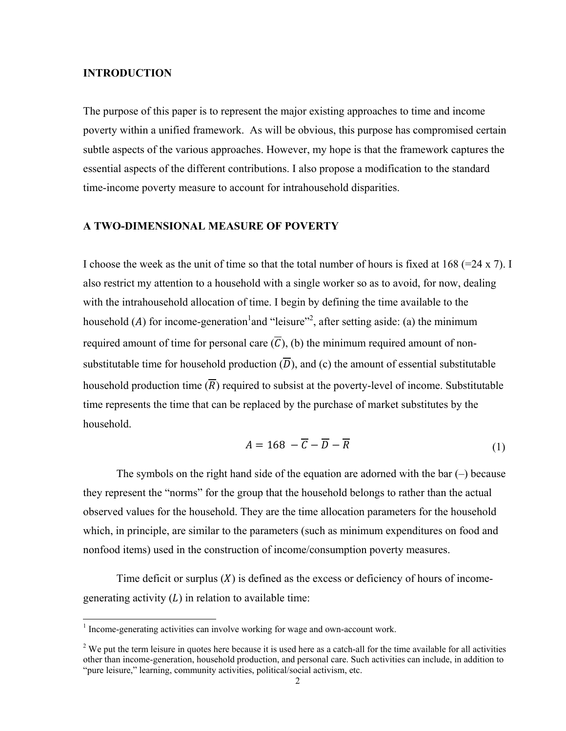## **INTRODUCTION**

The purpose of this paper is to represent the major existing approaches to time and income poverty within a unified framework. As will be obvious, this purpose has compromised certain subtle aspects of the various approaches. However, my hope is that the framework captures the essential aspects of the different contributions. I also propose a modification to the standard time-income poverty measure to account for intrahousehold disparities.

# A TWO-DIMENSIONAL MEASURE OF POVERTY

I choose the week as the unit of time so that the total number of hours is fixed at  $168 (=24 \times 7)$ . I also restrict my attention to a household with a single worker so as to avoid, for now, dealing with the intrahousehold allocation of time. I begin by defining the time available to the household (A) for income-generation and "leisure"<sup>2</sup>, after setting aside: (a) the minimum required amount of time for personal care  $(\overline{C})$ , (b) the minimum required amount of nonsubstitutable time for household production  $(\overline{D})$ , and (c) the amount of essential substitutable household production time  $(\overline{R})$  required to subsist at the poverty-level of income. Substitutable time represents the time that can be replaced by the purchase of market substitutes by the household.

$$
A = 168 - \overline{C} - \overline{D} - \overline{R}
$$
 (1)

The symbols on the right hand side of the equation are adorned with the bar  $(-)$  because they represent the "norms" for the group that the household belongs to rather than the actual observed values for the household. They are the time allocation parameters for the household which, in principle, are similar to the parameters (such as minimum expenditures on food and nonfood items) used in the construction of income/consumption poverty measures.

Time deficit or surplus  $(X)$  is defined as the excess or deficiency of hours of incomegenerating activity  $(L)$  in relation to available time:

<sup>&</sup>lt;sup>1</sup> Income-generating activities can involve working for wage and own-account work.

 $2$  We put the term leisure in quotes here because it is used here as a catch-all for the time available for all activities other than income-generation, household production, and personal care. Such activities can include, in addition to "pure leisure," learning, community activities, political/social activism, etc.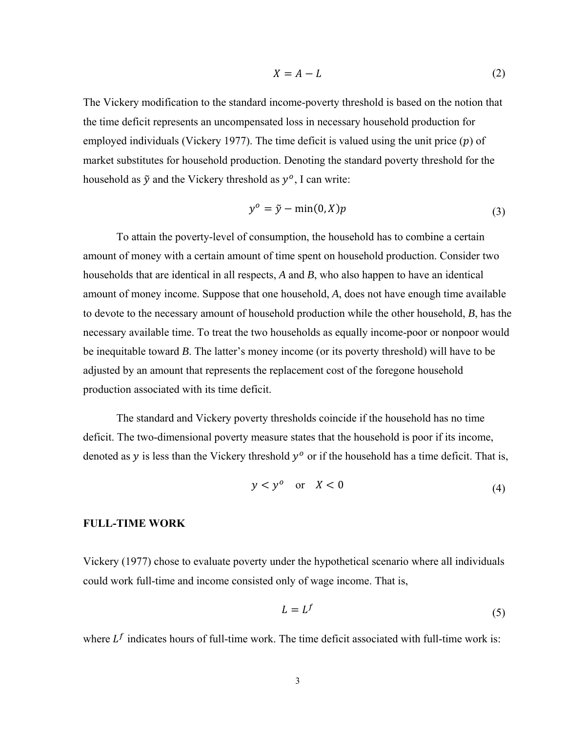$$
X = A - L \tag{2}
$$

The Vickery modification to the standard income-poverty threshold is based on the notion that the time deficit represents an uncompensated loss in necessary household production for employed individuals (Vickery 1977). The time deficit is valued using the unit price  $(p)$  of market substitutes for household production. Denoting the standard poverty threshold for the household as  $\tilde{y}$  and the Vickery threshold as  $y^{\circ}$ , I can write:

$$
y^o = \tilde{y} - \min(0, X)p \tag{3}
$$

To attain the poverty-level of consumption, the household has to combine a certain amount of money with a certain amount of time spent on household production. Consider two households that are identical in all respects,  $A$  and  $B$ , who also happen to have an identical amount of money income. Suppose that one household, A, does not have enough time available to devote to the necessary amount of household production while the other household, B, has the necessary available time. To treat the two households as equally income-poor or nonpoor would be inequitable toward  $B$ . The latter's money income (or its poverty threshold) will have to be adjusted by an amount that represents the replacement cost of the foregone household production associated with its time deficit.

The standard and Vickery poverty thresholds coincide if the household has no time deficit. The two-dimensional poverty measure states that the household is poor if its income, denoted as y is less than the Vickery threshold  $y^{\circ}$  or if the household has a time deficit. That is,

$$
y < y^0 \quad \text{or} \quad X < 0 \tag{4}
$$

#### **FULL-TIME WORK**

Vickery (1977) chose to evaluate poverty under the hypothetical scenario where all individuals could work full-time and income consisted only of wage income. That is,

$$
L = L^f \tag{5}
$$

where  $L^f$  indicates hours of full-time work. The time deficit associated with full-time work is: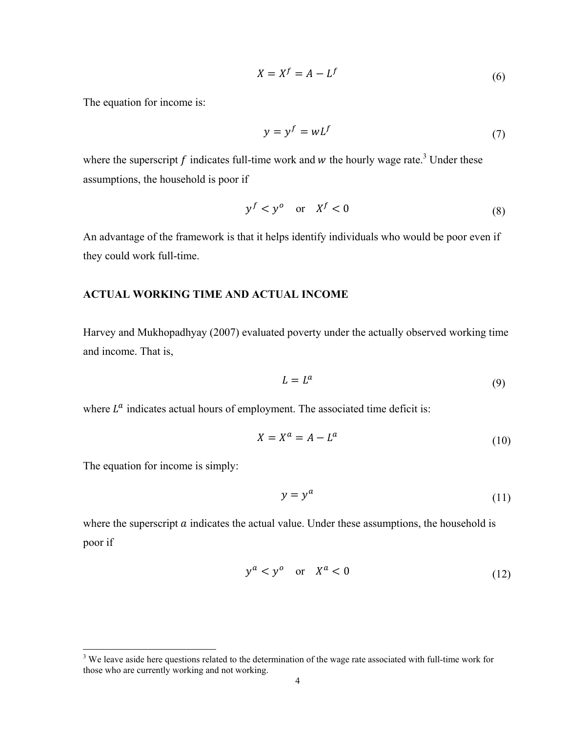$$
X = X^f = A - L^f \tag{6}
$$

The equation for income is:

$$
y = y^f = wL^f \tag{7}
$$

where the superscript f indicates full-time work and w the hourly wage rate.<sup>3</sup> Under these assumptions, the household is poor if

$$
y^f < y^o \quad \text{or} \quad X^f < 0 \tag{8}
$$

An advantage of the framework is that it helps identify individuals who would be poor even if they could work full-time.

## **ACTUAL WORKING TIME AND ACTUAL INCOME**

Harvey and Mukhopadhyay (2007) evaluated poverty under the actually observed working time and income. That is,

$$
L = L^a \tag{9}
$$

where  $L^a$  indicates actual hours of employment. The associated time deficit is:

$$
X = X^a = A - L^a \tag{10}
$$

The equation for income is simply:

$$
y = y^a \tag{11}
$$

where the superscript  $\alpha$  indicates the actual value. Under these assumptions, the household is poor if

$$
y^a < y^o \quad \text{or} \quad X^a < 0 \tag{12}
$$

<sup>&</sup>lt;sup>3</sup> We leave aside here questions related to the determination of the wage rate associated with full-time work for those who are currently working and not working.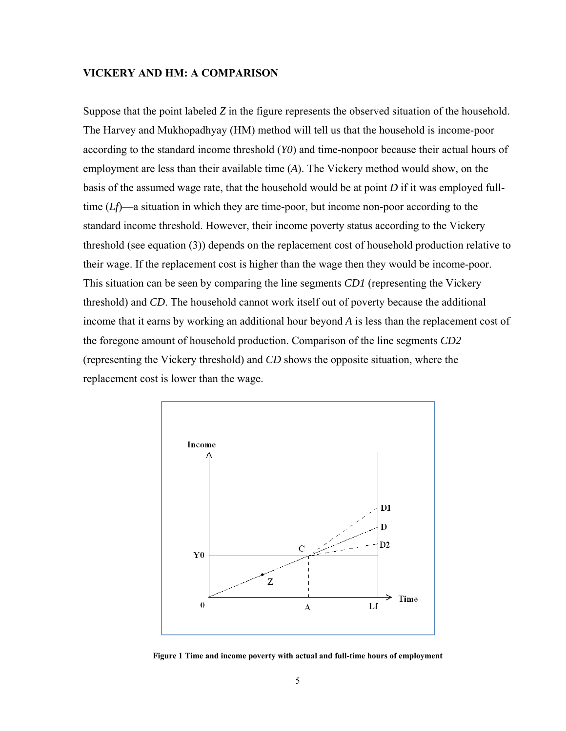## **VICKERY AND HM: A COMPARISON**

Suppose that the point labeled *Z* in the figure represents the observed situation of the household. The Harvey and Mukhopadhyay (HM) method will tell us that the household is income-poor according to the standard income threshold (*Y0*) and time-nonpoor because their actual hours of employment are less than their available time (*A*). The Vickery method would show, on the basis of the assumed wage rate, that the household would be at point *D* if it was employed fulltime (*Lf*)—a situation in which they are time-poor, but income non-poor according to the standard income threshold. However, their income poverty status according to the Vickery threshold (see equation (3)) depends on the replacement cost of household production relative to their wage. If the replacement cost is higher than the wage then they would be income-poor. This situation can be seen by comparing the line segments *CD1* (representing the Vickery threshold) and *CD*. The household cannot work itself out of poverty because the additional income that it earns by working an additional hour beyond *A* is less than the replacement cost of the foregone amount of household production. Comparison of the line segments *CD2* (representing the Vickery threshold) and *CD* shows the opposite situation, where the replacement cost is lower than the wage.



**Figure 1 Time and income poverty with actual and full-time hours of employment**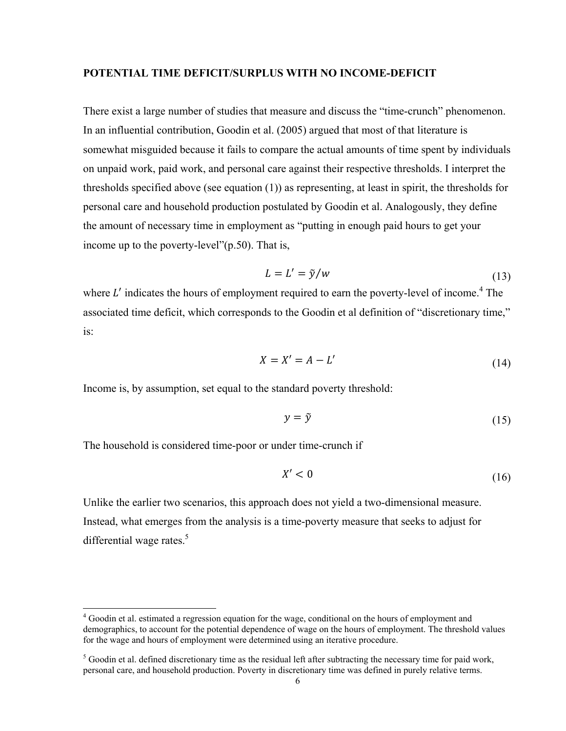#### **POTENTIAL TIME DEFICIT/SURPLUS WITH NO INCOME-DEFICIT**

There exist a large number of studies that measure and discuss the "time-crunch" phenomenon. In an influential contribution, Goodin et al. (2005) argued that most of that literature is somewhat misguided because it fails to compare the actual amounts of time spent by individuals on unpaid work, paid work, and personal care against their respective thresholds. I interpret the thresholds specified above (see equation (1)) as representing, at least in spirit, the thresholds for personal care and household production postulated by Goodin et al. Analogously, they define the amount of necessary time in employment as "putting in enough paid hours to get your income up to the poverty-level"(p.50). That is,

$$
L = L' = \tilde{y}/w \tag{13}
$$

where  $L'$  indicates the hours of employment required to earn the poverty-level of income.<sup>4</sup> The associated time deficit, which corresponds to the Goodin et al definition of "discretionary time," is:

$$
X = X' = A - L'
$$
\n<sup>(14)</sup>

Income is, by assumption, set equal to the standard poverty threshold:

$$
y = \tilde{y} \tag{15}
$$

The household is considered time-poor or under time-crunch if

l

$$
X' < 0 \tag{16}
$$

Unlike the earlier two scenarios, this approach does not yield a two-dimensional measure. Instead, what emerges from the analysis is a time-poverty measure that seeks to adjust for differential wage rates. $5$ 

<sup>&</sup>lt;sup>4</sup> Goodin et al. estimated a regression equation for the wage, conditional on the hours of employment and demographics, to account for the potential dependence of wage on the hours of employment. The threshold values for the wage and hours of employment were determined using an iterative procedure.

 $<sup>5</sup>$  Goodin et al. defined discretionary time as the residual left after subtracting the necessary time for paid work,</sup> personal care, and household production. Poverty in discretionary time was defined in purely relative terms.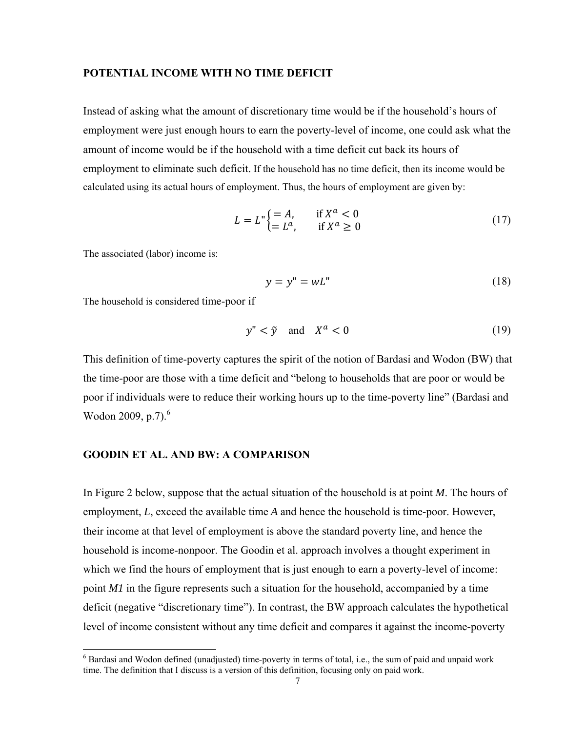#### POTENTIAL INCOME WITH NO TIME DEFICIT

Instead of asking what the amount of discretionary time would be if the household's hours of employment were just enough hours to earn the poverty-level of income, one could ask what the amount of income would be if the household with a time deficit cut back its hours of employment to eliminate such deficit. If the household has no time deficit, then its income would be calculated using its actual hours of employment. Thus, the hours of employment are given by:

$$
L = L^{\prime\prime} \begin{cases} = A, & \text{if } X^a < 0 \\ = L^a, & \text{if } X^a \ge 0 \end{cases} \tag{17}
$$

The associated (labor) income is:

$$
y = y'' = wL'' \tag{18}
$$

The household is considered time-poor if

$$
y'' < \tilde{y} \quad \text{and} \quad X^a < 0 \tag{19}
$$

This definition of time-poverty captures the spirit of the notion of Bardasi and Wodon (BW) that the time-poor are those with a time deficit and "belong to households that are poor or would be poor if individuals were to reduce their working hours up to the time-poverty line" (Bardasi and Wodon 2009, p.7).<sup>6</sup>

## **GOODIN ET AL. AND BW: A COMPARISON**

In Figure 2 below, suppose that the actual situation of the household is at point  $M$ . The hours of employment, L, exceed the available time A and hence the household is time-poor. However, their income at that level of employment is above the standard poverty line, and hence the household is income-nonpoor. The Goodin et al. approach involves a thought experiment in which we find the hours of employment that is just enough to earn a poverty-level of income: point M1 in the figure represents such a situation for the household, accompanied by a time deficit (negative "discretionary time"). In contrast, the BW approach calculates the hypothetical level of income consistent without any time deficit and compares it against the income-poverty

 $6$  Bardasi and Wodon defined (unadjusted) time-poverty in terms of total, i.e., the sum of paid and unpaid work time. The definition that I discuss is a version of this definition, focusing only on paid work.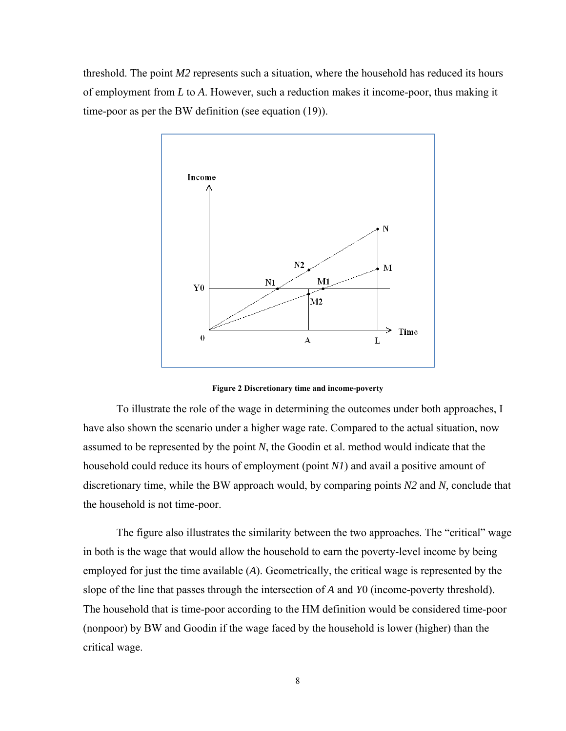threshold. The point *M2* represents such a situation, where the household has reduced its hours of employment from *L* to *A*. However, such a reduction makes it income-poor, thus making it time-poor as per the BW definition (see equation (19)).



**Figure 2 Discretionary time and income-poverty** 

To illustrate the role of the wage in determining the outcomes under both approaches, I have also shown the scenario under a higher wage rate. Compared to the actual situation, now assumed to be represented by the point *N*, the Goodin et al. method would indicate that the household could reduce its hours of employment (point *N1*) and avail a positive amount of discretionary time, while the BW approach would, by comparing points *N2* and *N*, conclude that the household is not time-poor.

The figure also illustrates the similarity between the two approaches. The "critical" wage in both is the wage that would allow the household to earn the poverty-level income by being employed for just the time available (*A*). Geometrically, the critical wage is represented by the slope of the line that passes through the intersection of *A* and *Y*0 (income-poverty threshold). The household that is time-poor according to the HM definition would be considered time-poor (nonpoor) by BW and Goodin if the wage faced by the household is lower (higher) than the critical wage.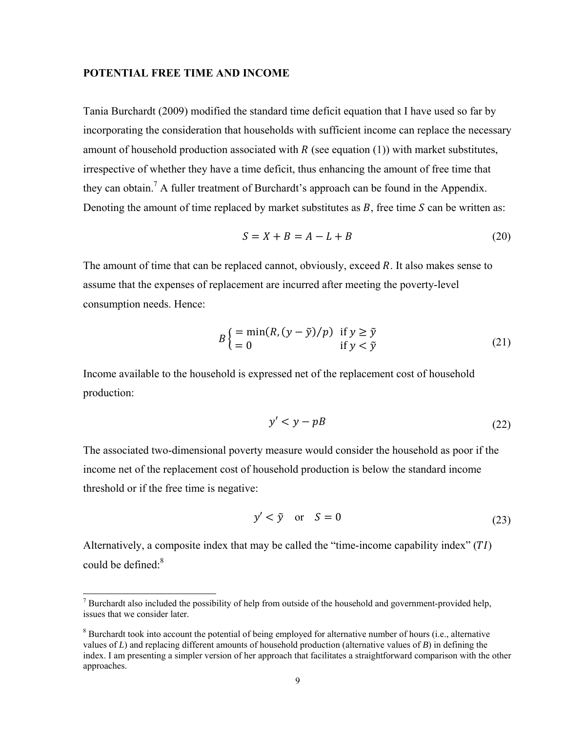# **POTENTIAL FREE TIME AND INCOME**

Tania Burchardt (2009) modified the standard time deficit equation that I have used so far by incorporating the consideration that households with sufficient income can replace the necessary amount of household production associated with  $R$  (see equation (1)) with market substitutes, irrespective of whether they have a time deficit, thus enhancing the amount of free time that they can obtain.<sup>7</sup> A fuller treatment of Burchardt's approach can be found in the Appendix. Denoting the amount of time replaced by market substitutes as  $B$ , free time  $S$  can be written as:

$$
S = X + B = A - L + B \tag{20}
$$

The amount of time that can be replaced cannot, obviously, exceed *. It also makes sense to* assume that the expenses of replacement are incurred after meeting the poverty-level consumption needs. Hence:

$$
B\begin{cases} = \min(R, (y - \tilde{y})/p) & \text{if } y \ge \tilde{y} \\ = 0 & \text{if } y < \tilde{y} \end{cases}
$$
(21)

Income available to the household is expressed net of the replacement cost of household production:

$$
y' < y - p \tag{22}
$$

The associated two-dimensional poverty measure would consider the household as poor if the income net of the replacement cost of household production is below the standard income threshold or if the free time is negative:

$$
y' < \tilde{y} \quad \text{or} \quad S = 0 \tag{23}
$$

Alternatively, a composite index that may be called the "time-income capability index"  $(TI)$ could be defined: $8$ 

l

 $<sup>7</sup>$  Burchardt also included the possibility of help from outside of the household and government-provided help,</sup> issues that we consider later.

 $8$  Burchardt took into account the potential of being employed for alternative number of hours (i.e., alternative values of *L*) and replacing different amounts of household production (alternative values of *B*) in defining the index. I am presenting a simpler version of her approach that facilitates a straightforward comparison with the other approaches.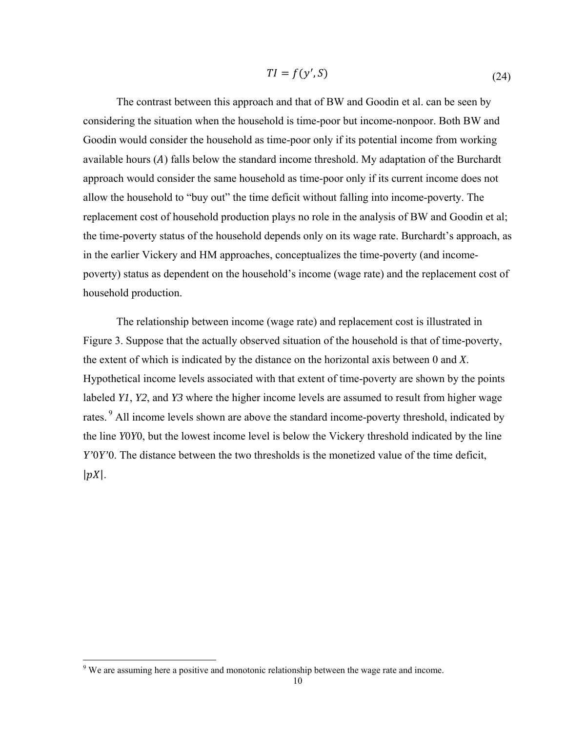$$
TI = f(y', S) \tag{24}
$$

The contrast between this approach and that of BW and Goodin et al. can be seen by considering the situation when the household is time-poor but income-nonpoor. Both BW and Goodin would consider the household as time-poor only if its potential income from working available hours  $(A)$  falls below the standard income threshold. My adaptation of the Burchardt approach would consider the same household as time-poor only if its current income does not allow the household to "buy out" the time deficit without falling into income-poverty. The replacement cost of household production plays no role in the analysis of BW and Goodin et al; the time-poverty status of the household depends only on its wage rate. Burchardt's approach, as in the earlier Vickery and HM approaches, conceptualizes the time-poverty (and incomepoverty) status as dependent on the household's income (wage rate) and the replacement cost of household production.

The relationship between income (wage rate) and replacement cost is illustrated in Figure 3. Suppose that the actually observed situation of the household is that of time-poverty, the extent of which is indicated by the distance on the horizontal axis between 0 and *X*. Hypothetical income levels associated with that extent of time-poverty are shown by the points labeled *Y1*, *Y2*, and *Y3* where the higher income levels are assumed to result from higher wage rates.<sup>9</sup> All income levels shown are above the standard income-poverty threshold, indicated by the line *Y*0*Y*0, but the lowest income level is below the Vickery threshold indicated by the line *Y'*0*Y'*0. The distance between the two thresholds is the monetized value of the time deficit,  $|pX|$ .

l

<sup>&</sup>lt;sup>9</sup> We are assuming here a positive and monotonic relationship between the wage rate and income.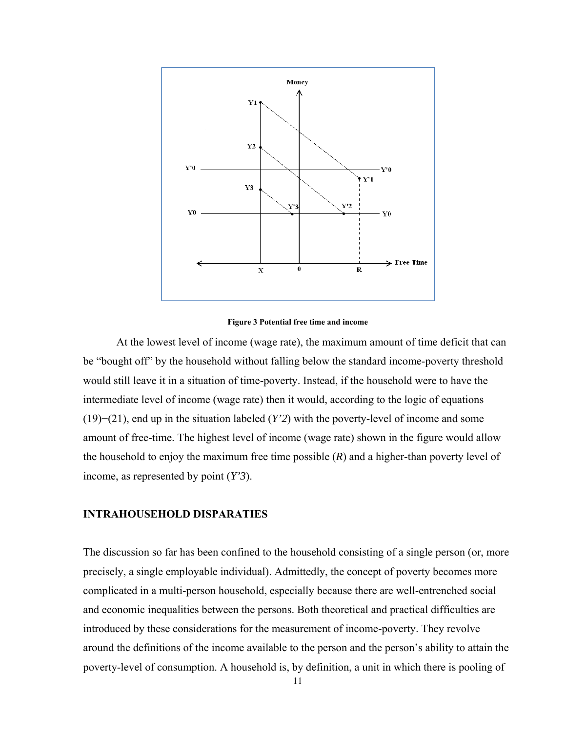

**Figure 3 Potential free time and income** 

At the lowest level of income (wage rate), the maximum amount of time deficit that can be "bought off" by the household without falling below the standard income-poverty threshold would still leave it in a situation of time-poverty. Instead, if the household were to have the intermediate level of income (wage rate) then it would, according to the logic of equations (19)−(21), end up in the situation labeled (*Y'2*) with the poverty-level of income and some amount of free-time. The highest level of income (wage rate) shown in the figure would allow the household to enjoy the maximum free time possible (*R*) and a higher-than poverty level of income, as represented by point (*Y'3*).

# **INTRAHOUSEHOLD DISPARATIES**

The discussion so far has been confined to the household consisting of a single person (or, more precisely, a single employable individual). Admittedly, the concept of poverty becomes more complicated in a multi-person household, especially because there are well-entrenched social and economic inequalities between the persons. Both theoretical and practical difficulties are introduced by these considerations for the measurement of income-poverty. They revolve around the definitions of the income available to the person and the person's ability to attain the poverty-level of consumption. A household is, by definition, a unit in which there is pooling of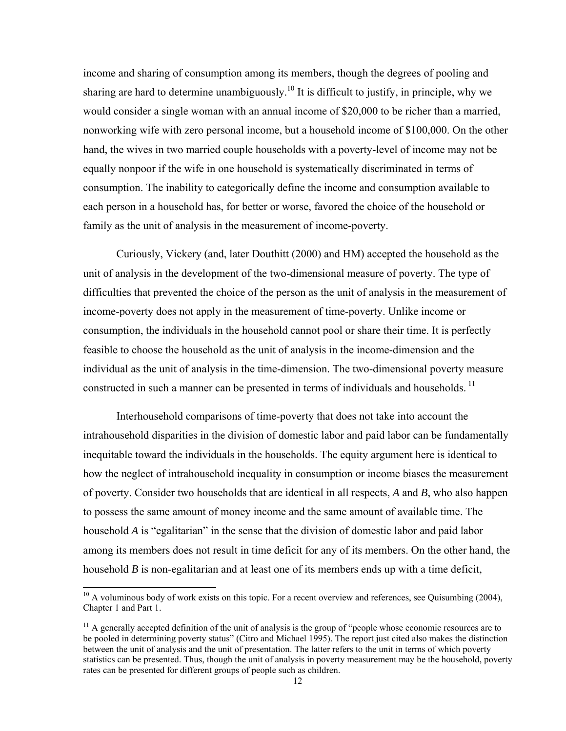income and sharing of consumption among its members, though the degrees of pooling and sharing are hard to determine unambiguously.<sup>10</sup> It is difficult to justify, in principle, why we would consider a single woman with an annual income of \$20,000 to be richer than a married, nonworking wife with zero personal income, but a household income of \$100,000. On the other hand, the wives in two married couple households with a poverty-level of income may not be equally nonpoor if the wife in one household is systematically discriminated in terms of consumption. The inability to categorically define the income and consumption available to each person in a household has, for better or worse, favored the choice of the household or family as the unit of analysis in the measurement of income-poverty.

Curiously, Vickery (and, later Douthitt (2000) and HM) accepted the household as the unit of analysis in the development of the two-dimensional measure of poverty. The type of difficulties that prevented the choice of the person as the unit of analysis in the measurement of income-poverty does not apply in the measurement of time-poverty. Unlike income or consumption, the individuals in the household cannot pool or share their time. It is perfectly feasible to choose the household as the unit of analysis in the income-dimension and the individual as the unit of analysis in the time-dimension. The two-dimensional poverty measure constructed in such a manner can be presented in terms of individuals and households.<sup>11</sup>

Interhousehold comparisons of time-poverty that does not take into account the intrahousehold disparities in the division of domestic labor and paid labor can be fundamentally inequitable toward the individuals in the households. The equity argument here is identical to how the neglect of intrahousehold inequality in consumption or income biases the measurement of poverty. Consider two households that are identical in all respects, *A* and *B*, who also happen to possess the same amount of money income and the same amount of available time. The household *A* is "egalitarian" in the sense that the division of domestic labor and paid labor among its members does not result in time deficit for any of its members. On the other hand, the household *B* is non-egalitarian and at least one of its members ends up with a time deficit,

 $\overline{\phantom{a}}$ 

 $10$  A voluminous body of work exists on this topic. For a recent overview and references, see Quisumbing (2004), Chapter 1 and Part 1.

 $11$  A generally accepted definition of the unit of analysis is the group of "people whose economic resources are to be pooled in determining poverty status" (Citro and Michael 1995). The report just cited also makes the distinction between the unit of analysis and the unit of presentation. The latter refers to the unit in terms of which poverty statistics can be presented. Thus, though the unit of analysis in poverty measurement may be the household, poverty rates can be presented for different groups of people such as children.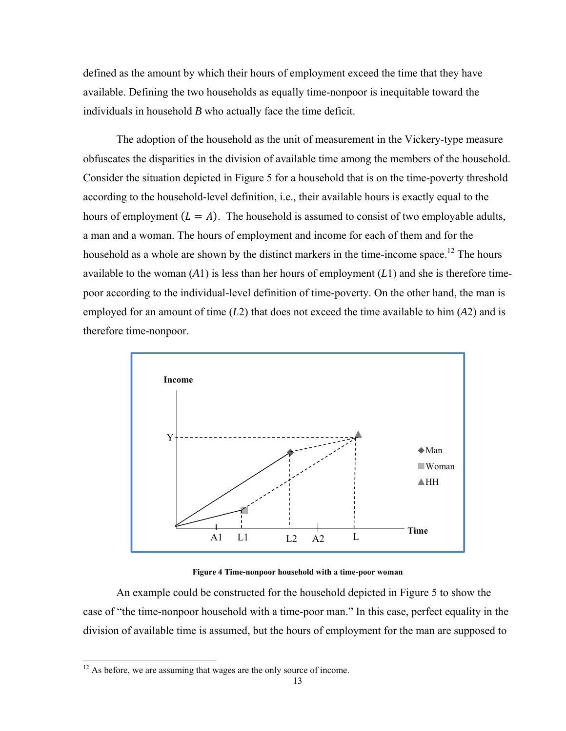defined as the amount by which their hours of employment exceed the time that they have available. Defining the two households as equally time-nonpoor is inequitable toward the individuals in household *B* who actually face the time deficit.

The adoption of the household as the unit of measurement in the Vickery-type measure obfuscates the disparities in the division of available time among the members of the household. Consider the situation depicted in Figure 5 for a household that is on the time-poverty threshold according to the household-level definition, i.e., their available hours is exactly equal to the hours of employment  $(L = A)$ . The household is assumed to consist of two employable adults, a man and a woman. The hours of employment and income for each of them and for the household as a whole are shown by the distinct markers in the time-income space.<sup>12</sup> The hours available to the woman (*A*1) is less than her hours of employment (*L*1) and she is therefore timepoor according to the individual-level definition of time-poverty. On the other hand, the man is employed for an amount of time (*L*2) that does not exceed the time available to him (*A*2) and is therefore time-nonpoor.



**Figure 4 Time-nonpoor household with a time-poor woman** 

An example could be constructed for the household depicted in Figure 5 to show the case of "the time-nonpoor household with a time-poor man." In this case, perfect equality in the division of available time is assumed, but the hours of employment for the man are supposed to

l

<sup>&</sup>lt;sup>12</sup> As before, we are assuming that wages are the only source of income.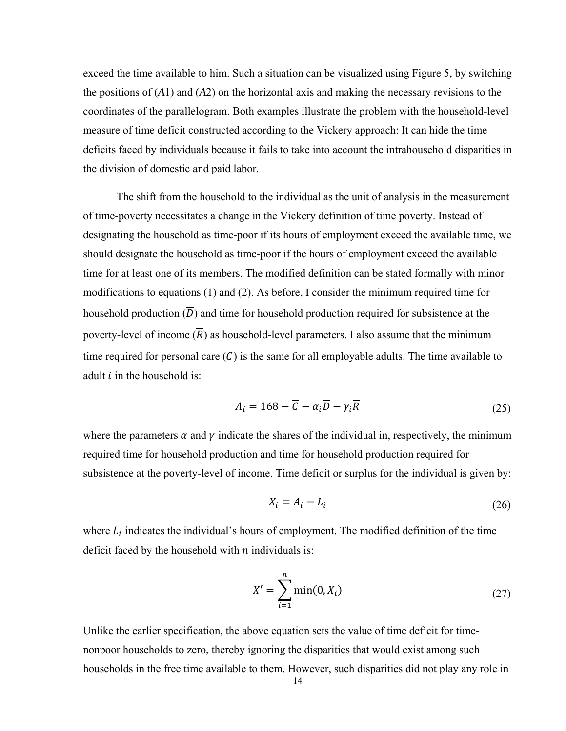exceed the time available to him. Such a situation can be visualized using Figure 5, by switching the positions of (*A*1) and (*A*2) on the horizontal axis and making the necessary revisions to the coordinates of the parallelogram. Both examples illustrate the problem with the household-level measure of time deficit constructed according to the Vickery approach: It can hide the time deficits faced by individuals because it fails to take into account the intrahousehold disparities in the division of domestic and paid labor.

The shift from the household to the individual as the unit of analysis in the measurement of time-poverty necessitates a change in the Vickery definition of time poverty. Instead of designating the household as time-poor if its hours of employment exceed the available time, we should designate the household as time-poor if the hours of employment exceed the available time for at least one of its members. The modified definition can be stated formally with minor modifications to equations (1) and (2). As before, I consider the minimum required time for household production  $(\overline{D})$  and time for household production required for subsistence at the poverty-level of income  $(\overline{R})$  as household-level parameters. I also assume that the minimum time required for personal care  $(\overline{C})$  is the same for all employable adults. The time available to adult  $i$  in the household is:

$$
A_i = 168 - \overline{C} - \alpha_i \overline{D} - \gamma_i \overline{R}
$$
 (25)

where the parameters  $\alpha$  and  $\gamma$  indicate the shares of the individual in, respectively, the minimum required time for household production and time for household production required for subsistence at the poverty-level of income. Time deficit or surplus for the individual is given by:

$$
X_i = A_i - L_i \tag{26}
$$

where  $L_i$  indicates the individual's hours of employment. The modified definition of the time deficit faced by the household with  $n$  individuals is:

$$
X' = \sum_{i=1}^{n} \min(0, X_i)
$$
 (27)

Unlike the earlier specification, the above equation sets the value of time deficit for timenonpoor households to zero, thereby ignoring the disparities that would exist among such households in the free time available to them. However, such disparities did not play any role in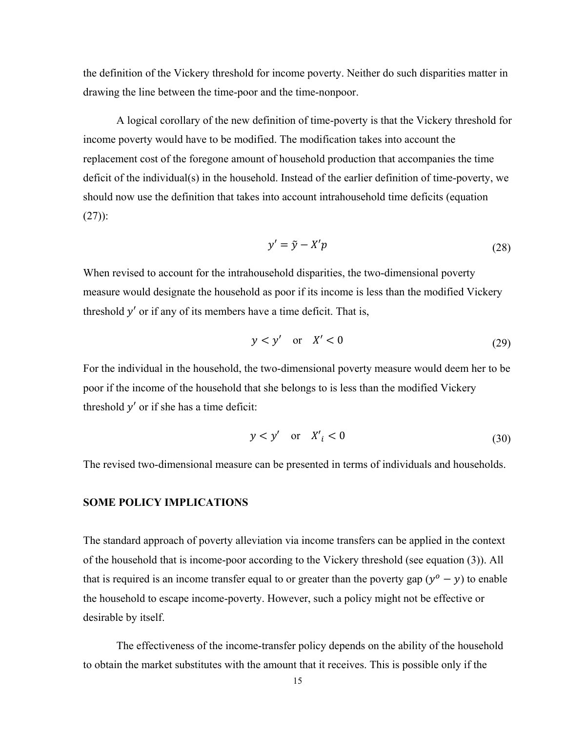the definition of the Vickery threshold for income poverty. Neither do such disparities matter in drawing the line between the time-poor and the time-nonpoor.

A logical corollary of the new definition of time-poverty is that the Vickery threshold for income poverty would have to be modified. The modification takes into account the replacement cost of the foregone amount of household production that accompanies the time deficit of the individual(s) in the household. Instead of the earlier definition of time-poverty, we should now use the definition that takes into account intrahousehold time deficits (equation  $(27)$ :

$$
y' = \tilde{y} - X'p \tag{28}
$$

When revised to account for the intrahousehold disparities, the two-dimensional poverty measure would designate the household as poor if its income is less than the modified Vickery threshold  $y'$  or if any of its members have a time deficit. That is,

$$
y < y' \quad \text{or} \quad X' < 0 \tag{29}
$$

For the individual in the household, the two-dimensional poverty measure would deem her to be poor if the income of the household that she belongs to is less than the modified Vickery threshold  $y'$  or if she has a time deficit:

$$
y < y' \quad \text{or} \quad X'_i < 0 \tag{30}
$$

The revised two-dimensional measure can be presented in terms of individuals and households.

## **SOME POLICY IMPLICATIONS**

The standard approach of poverty alleviation via income transfers can be applied in the context of the household that is income-poor according to the Vickery threshold (see equation (3)). All that is required is an income transfer equal to or greater than the poverty gap  $(y^{\circ} - y)$  to enable the household to escape income-poverty. However, such a policy might not be effective or desirable by itself.

The effectiveness of the income-transfer policy depends on the ability of the household to obtain the market substitutes with the amount that it receives. This is possible only if the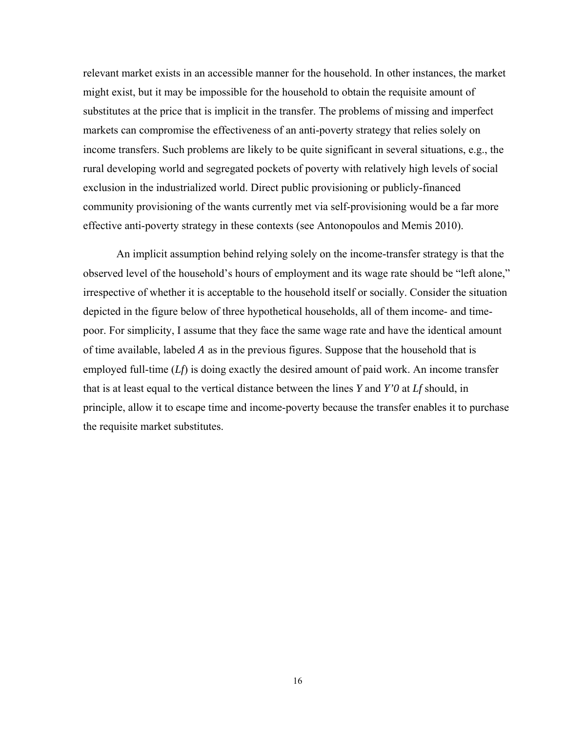relevant market exists in an accessible manner for the household. In other instances, the market might exist, but it may be impossible for the household to obtain the requisite amount of substitutes at the price that is implicit in the transfer. The problems of missing and imperfect markets can compromise the effectiveness of an anti-poverty strategy that relies solely on income transfers. Such problems are likely to be quite significant in several situations, e.g., the rural developing world and segregated pockets of poverty with relatively high levels of social exclusion in the industrialized world. Direct public provisioning or publicly-financed community provisioning of the wants currently met via self-provisioning would be a far more effective anti-poverty strategy in these contexts (see Antonopoulos and Memis 2010).

An implicit assumption behind relying solely on the income-transfer strategy is that the observed level of the household's hours of employment and its wage rate should be "left alone," irrespective of whether it is acceptable to the household itself or socially. Consider the situation depicted in the figure below of three hypothetical households, all of them income- and timepoor. For simplicity, I assume that they face the same wage rate and have the identical amount of time available, labeled  $A$  as in the previous figures. Suppose that the household that is employed full-time (*Lf*) is doing exactly the desired amount of paid work. An income transfer that is at least equal to the vertical distance between the lines *Y* and *Y'0* at *Lf* should, in principle, allow it to escape time and income-poverty because the transfer enables it to purchase the requisite market substitutes.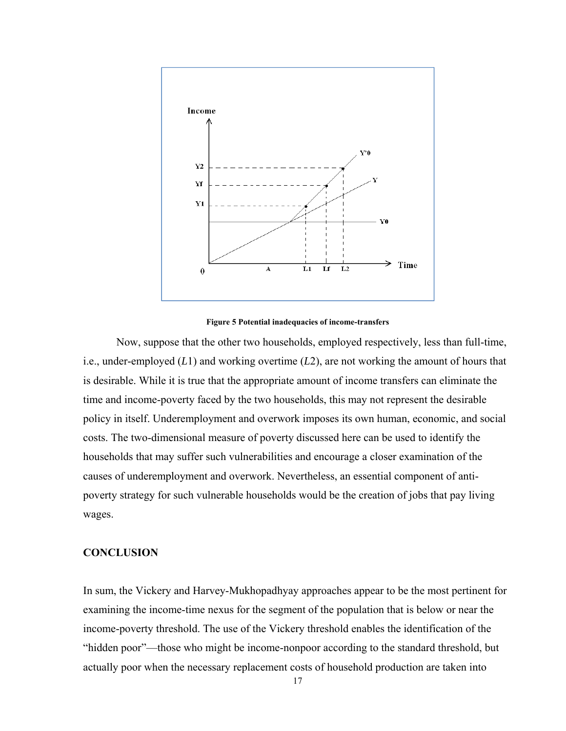

**Figure 5 Potential inadequacies of income-transfers** 

Now, suppose that the other two households, employed respectively, less than full-time, i.e., under-employed (*L*1) and working overtime (*L*2), are not working the amount of hours that is desirable. While it is true that the appropriate amount of income transfers can eliminate the time and income-poverty faced by the two households, this may not represent the desirable policy in itself. Underemployment and overwork imposes its own human, economic, and social costs. The two-dimensional measure of poverty discussed here can be used to identify the households that may suffer such vulnerabilities and encourage a closer examination of the causes of underemployment and overwork. Nevertheless, an essential component of antipoverty strategy for such vulnerable households would be the creation of jobs that pay living wages.

# **CONCLUSION**

In sum, the Vickery and Harvey-Mukhopadhyay approaches appear to be the most pertinent for examining the income-time nexus for the segment of the population that is below or near the income-poverty threshold. The use of the Vickery threshold enables the identification of the "hidden poor"—those who might be income-nonpoor according to the standard threshold, but actually poor when the necessary replacement costs of household production are taken into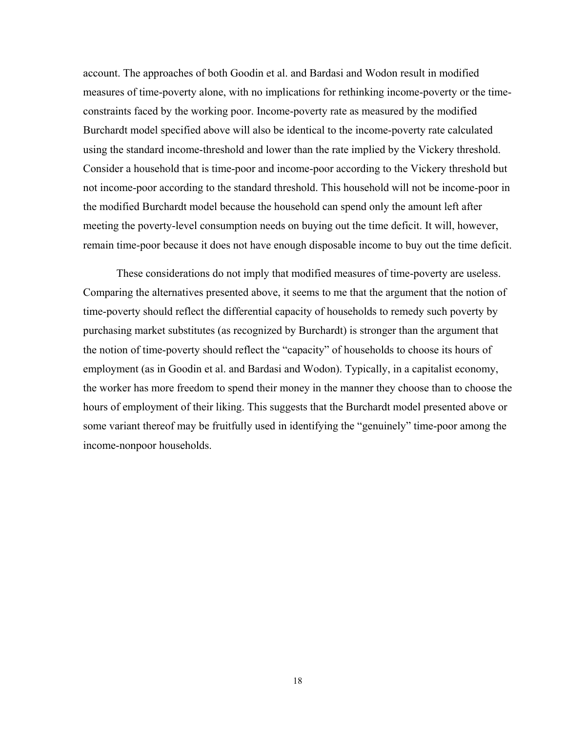account. The approaches of both Goodin et al. and Bardasi and Wodon result in modified measures of time-poverty alone, with no implications for rethinking income-poverty or the timeconstraints faced by the working poor. Income-poverty rate as measured by the modified Burchardt model specified above will also be identical to the income-poverty rate calculated using the standard income-threshold and lower than the rate implied by the Vickery threshold. Consider a household that is time-poor and income-poor according to the Vickery threshold but not income-poor according to the standard threshold. This household will not be income-poor in the modified Burchardt model because the household can spend only the amount left after meeting the poverty-level consumption needs on buying out the time deficit. It will, however, remain time-poor because it does not have enough disposable income to buy out the time deficit.

These considerations do not imply that modified measures of time-poverty are useless. Comparing the alternatives presented above, it seems to me that the argument that the notion of time-poverty should reflect the differential capacity of households to remedy such poverty by purchasing market substitutes (as recognized by Burchardt) is stronger than the argument that the notion of time-poverty should reflect the "capacity" of households to choose its hours of employment (as in Goodin et al. and Bardasi and Wodon). Typically, in a capitalist economy, the worker has more freedom to spend their money in the manner they choose than to choose the hours of employment of their liking. This suggests that the Burchardt model presented above or some variant thereof may be fruitfully used in identifying the "genuinely" time-poor among the income-nonpoor households.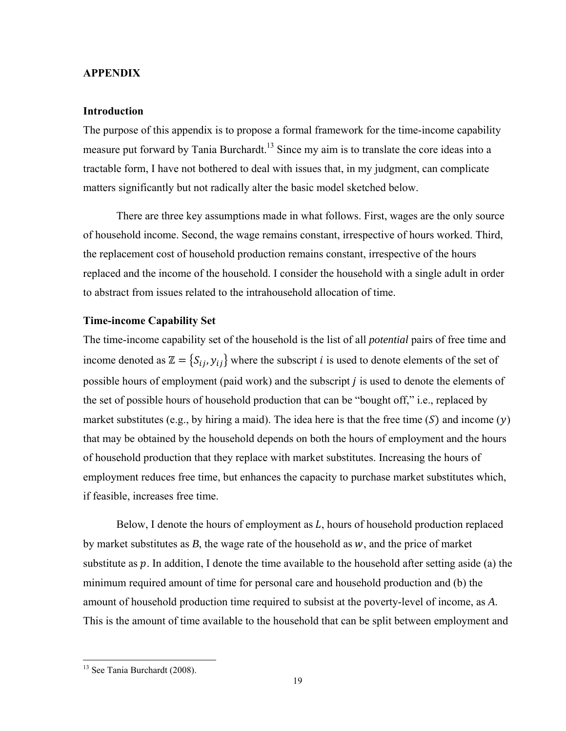#### **APPENDIX**

## **Introduction**

The purpose of this appendix is to propose a formal framework for the time-income capability measure put forward by Tania Burchardt.<sup>13</sup> Since my aim is to translate the core ideas into a tractable form, I have not bothered to deal with issues that, in my judgment, can complicate matters significantly but not radically alter the basic model sketched below.

There are three key assumptions made in what follows. First, wages are the only source of household income. Second, the wage remains constant, irrespective of hours worked. Third, the replacement cost of household production remains constant, irrespective of the hours replaced and the income of the household. I consider the household with a single adult in order to abstract from issues related to the intrahousehold allocation of time.

# **Time-income Capability Set**

The time-income capability set of the household is the list of all *potential* pairs of free time and income denoted as  $\mathbb{Z} = \{S_{ij}, y_{ij}\}\$  where the subscript *i* is used to denote elements of the set of possible hours of employment (paid work) and the subscript  $j$  is used to denote the elements of the set of possible hours of household production that can be "bought off," i.e., replaced by market substitutes (e.g., by hiring a maid). The idea here is that the free time  $(S)$  and income  $(y)$ that may be obtained by the household depends on both the hours of employment and the hours of household production that they replace with market substitutes. Increasing the hours of employment reduces free time, but enhances the capacity to purchase market substitutes which, if feasible, increases free time.

Below, I denote the hours of employment as  $L$ , hours of household production replaced by market substitutes as  $B$ , the wage rate of the household as  $w$ , and the price of market substitute as  $p$ . In addition, I denote the time available to the household after setting aside (a) the minimum required amount of time for personal care and household production and (b) the amount of household production time required to subsist at the poverty-level of income, as *A*. This is the amount of time available to the household that can be split between employment and

l

<sup>&</sup>lt;sup>13</sup> See Tania Burchardt (2008).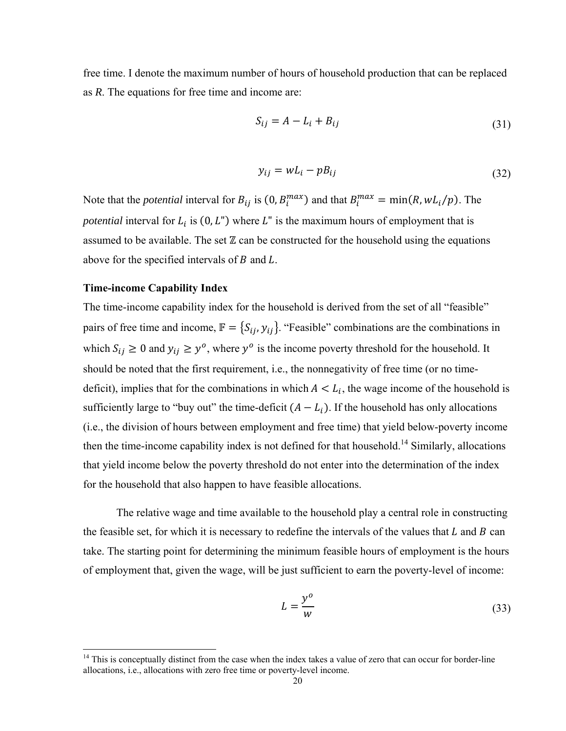free time. I denote the maximum number of hours of household production that can be replaced as  $R$ . The equations for free time and income are:

$$
S_{ij} = A - L_i + B_{ij}
$$
\n<sup>(31)</sup>

$$
y_{ij} = wL_i - pB_{ij} \tag{32}
$$

Note that the *potential* interval for  $B_{ij}$  is  $(0, B_i^{max})$  and that  $B_i^{max} = min(R, wL_i/p)$ . The *potential* interval for  $L_i$  is  $(0, L'')$  where  $L''$  is the maximum hours of employment that is assumed to be available. The set  $\mathbb Z$  can be constructed for the household using the equations above for the specified intervals of  $B$  and  $L$ .

# **Time-income Capability Index**

The time-income capability index for the household is derived from the set of all "feasible" pairs of free time and income,  $\mathbb{F} = \{S_{ij}, y_{ij}\}$ . "Feasible" combinations are the combinations in which  $S_{ij} \ge 0$  and  $y_{ij} \ge y^0$ , where  $y^0$  is the income poverty threshold for the household. It should be noted that the first requirement, i.e., the nonnegativity of free time (or no timedeficit), implies that for the combinations in which  $A < L_i$ , the wage income of the household is sufficiently large to "buy out" the time-deficit  $(A - L_i)$ . If the household has only allocations (i.e., the division of hours between employment and free time) that yield below-poverty income then the time-income capability index is not defined for that household.<sup>14</sup> Similarly, allocations that yield income below the poverty threshold do not enter into the determination of the index for the household that also happen to have feasible allocations.

The relative wage and time available to the household play a central role in constructing the feasible set, for which it is necessary to redefine the intervals of the values that  $L$  and  $B$  can take. The starting point for determining the minimum feasible hours of employment is the hours of employment that, given the wage, will be just sufficient to earn the poverty-level of income:

$$
L = \frac{y^o}{w} \tag{33}
$$

 $14$  This is conceptually distinct from the case when the index takes a value of zero that can occur for border-line allocations, i.e., allocations with zero free time or poverty-level income.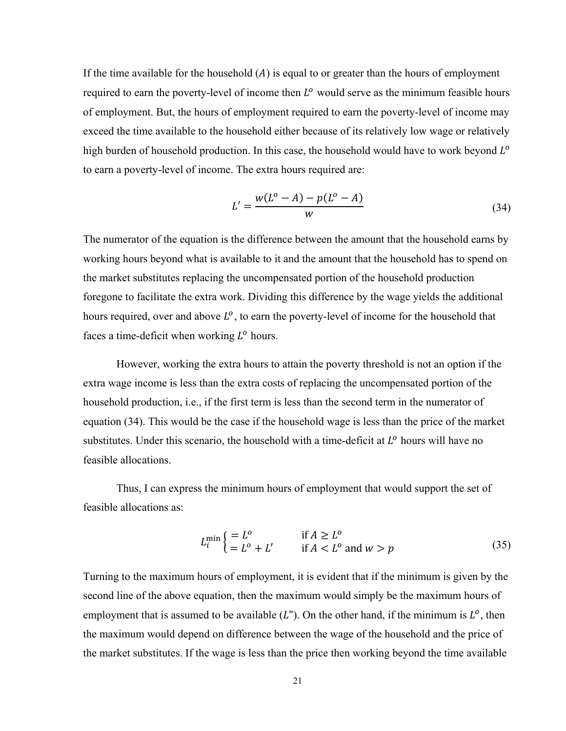If the time available for the household  $(A)$  is equal to or greater than the hours of employment required to earn the poverty-level of income then  $L^{\circ}$  would serve as the minimum feasible hours of employment. But, the hours of employment required to earn the poverty-level of income may exceed the time available to the household either because of its relatively low wage or relatively high burden of household production. In this case, the household would have to work beyond L<sup>o</sup> to earn a poverty-level of income. The extra hours required are:

$$
L' = \frac{w(L^o - A) - p(L^o - A)}{w}
$$
\n(34)

The numerator of the equation is the difference between the amount that the household earns by working hours beyond what is available to it and the amount that the household has to spend on the market substitutes replacing the uncompensated portion of the household production foregone to facilitate the extra work. Dividing this difference by the wage yields the additional hours required, over and above  $L^{\circ}$ , to earn the poverty-level of income for the household that faces a time-deficit when working  $L^{\circ}$  hours.

However, working the extra hours to attain the poverty threshold is not an option if the extra wage income is less than the extra costs of replacing the uncompensated portion of the household production, i.e., if the first term is less than the second term in the numerator of equation (34). This would be the case if the household wage is less than the price of the market substitutes. Under this scenario, the household with a time-deficit at  $L^{\circ}$  hours will have no feasible allocations.

Thus, I can express the minimum hours of employment that would support the set of feasible allocations as:

$$
L_i^{\min} \left\{ \begin{aligned} &= L^o & \text{if } A \ge L^o \\ &= L^o + L' & \text{if } A < L^o \text{ and } w > p \end{aligned} \right. \tag{35}
$$

Turning to the maximum hours of employment, it is evident that if the minimum is given by the second line of the above equation, then the maximum would simply be the maximum hours of employment that is assumed to be available  $(L^{\prime\prime})$ . On the other hand, if the minimum is  $L^{\circ}$ , then the maximum would depend on difference between the wage of the household and the price of the market substitutes. If the wage is less than the price then working beyond the time available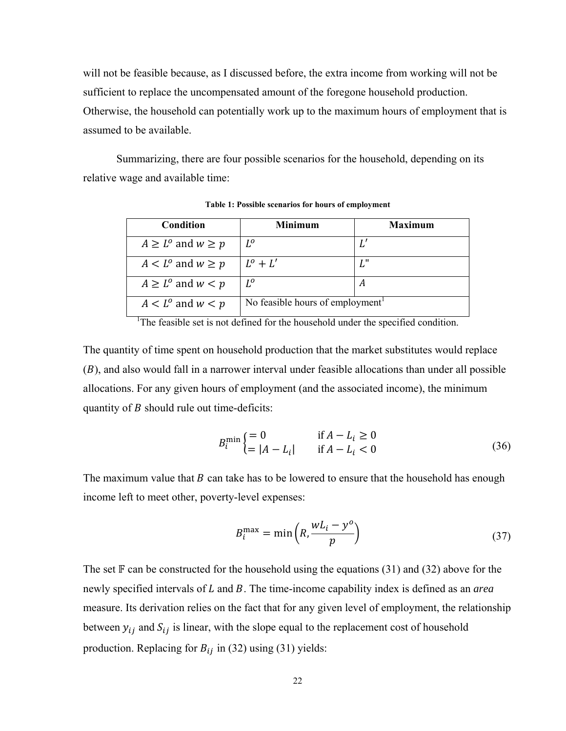will not be feasible because, as I discussed before, the extra income from working will not be sufficient to replace the uncompensated amount of the foregone household production. Otherwise, the household can potentially work up to the maximum hours of employment that is assumed to be available.

Summarizing, there are four possible scenarios for the household, depending on its relative wage and available time:

| Condition                         | <b>Minimum</b>                               | <b>Maximum</b> |
|-----------------------------------|----------------------------------------------|----------------|
| $A \geq L^{\circ}$ and $w \geq p$ | $L^o$                                        |                |
| $A < L^{\circ}$ and $w \ge p$     | $L^o + L'$                                   | 7 II           |
| $A \geq L^{\circ}$ and $w < p$    | $L^o$                                        |                |
| $A < L^{\circ}$ and $w < p$       | No feasible hours of employment <sup>1</sup> |                |

Table 1: Possible scenarios for hours of employment

 $<sup>1</sup>$ The feasible set is not defined for the household under the specified condition.</sup>

The quantity of time spent on household production that the market substitutes would replace  $(B)$ , and also would fall in a narrower interval under feasible allocations than under all possible allocations. For any given hours of employment (and the associated income), the minimum quantity of  $B$  should rule out time-deficits:

$$
B_i^{\min} \begin{cases} = 0 & \text{if } A - L_i \ge 0 \\ = |A - L_i| & \text{if } A - L_i < 0 \end{cases} \tag{36}
$$

The maximum value that B can take has to be lowered to ensure that the household has enough income left to meet other, poverty-level expenses:

$$
B_i^{\max} = \min\left(R, \frac{wL_i - y^o}{p}\right) \tag{37}
$$

The set  $\mathbb F$  can be constructed for the household using the equations (31) and (32) above for the newly specified intervals of L and B. The time-income capability index is defined as an *area* measure. Its derivation relies on the fact that for any given level of employment, the relationship between  $y_{ij}$  and  $S_{ij}$  is linear, with the slope equal to the replacement cost of household production. Replacing for  $B_{ij}$  in (32) using (31) yields: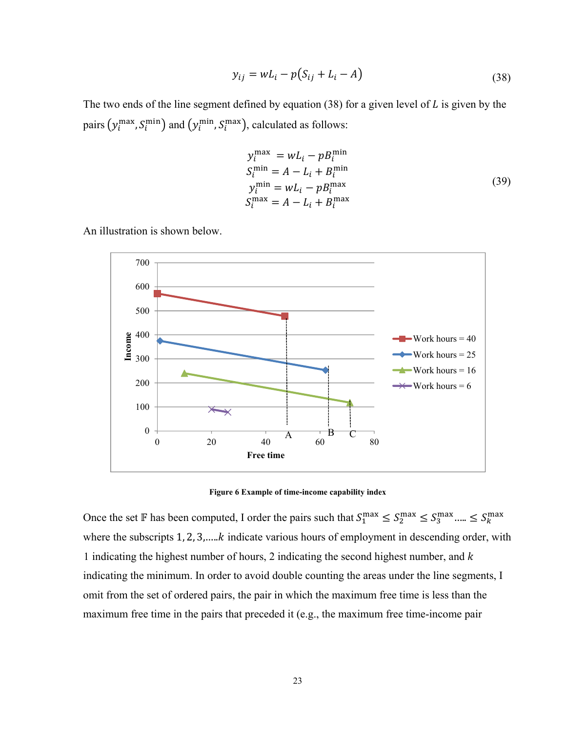$$
y_{ij} = wL_i - p(S_{ij} + L_i - A)
$$
\n(38)

The two ends of the line segment defined by equation (38) for a given level of  $L$  is given by the pairs  $(y_i^{\text{max}}, S_i^{\text{min}})$  and  $(y_i^{\text{min}}, S_i^{\text{max}})$ , calculated as follows:

$$
y_i^{\text{max}} = wL_i - pB_i^{\text{min}}
$$
  
\n
$$
S_i^{\text{min}} = A - L_i + B_i^{\text{min}}
$$
  
\n
$$
y_i^{\text{min}} = wL_i - pB_i^{\text{max}}
$$
  
\n
$$
S_i^{\text{max}} = A - L_i + B_i^{\text{max}}
$$
\n(39)

An illustration is shown below.



**Figure 6 Example of time-income capability index** 

Once the set F has been computed, I order the pairs such that  $S_1^{\text{max}} \leq S_2^{\text{max}} \leq S_3^{\text{max}} \dots \leq S_k^{\text{max}}$ where the subscripts  $1, 2, 3, \dots k$  indicate various hours of employment in descending order, with 1 indicating the highest number of hours, 2 indicating the second highest number, and  $k$ indicating the minimum. In order to avoid double counting the areas under the line segments, I omit from the set of ordered pairs, the pair in which the maximum free time is less than the maximum free time in the pairs that preceded it (e.g., the maximum free time-income pair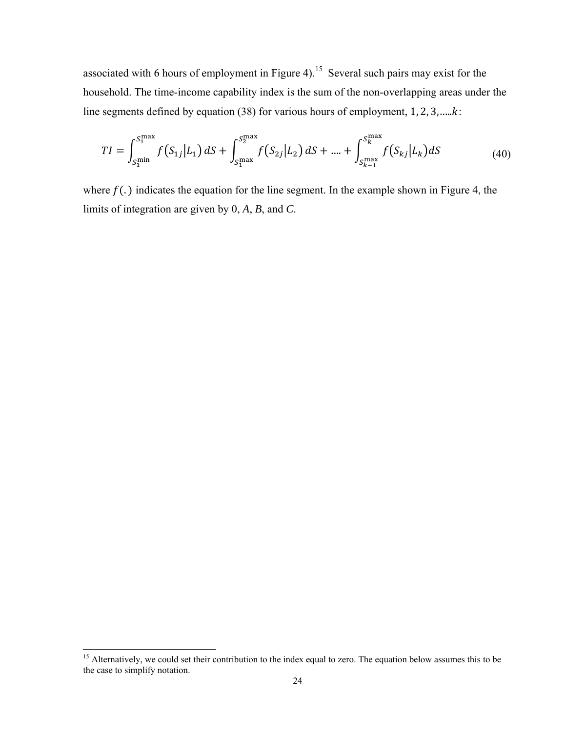associated with 6 hours of employment in Figure 4).<sup>15</sup> Several such pairs may exist for the household. The time-income capability index is the sum of the non-overlapping areas under the line segments defined by equation (38) for various hours of employment,  $1, 2, 3, \dots k$ .

$$
TI = \int_{S_1^{\min}}^{S_1^{\max}} f(S_{1j}|L_1) dS + \int_{S_1^{\max}}^{S_2^{\max}} f(S_{2j}|L_2) dS + \dots + \int_{S_{k-1}^{\max}}^{S_k^{\max}} f(S_{kj}|L_k) dS \tag{40}
$$

where  $f(.)$  indicates the equation for the line segment. In the example shown in Figure 4, the limits of integration are given by  $0, A, B$ , and  $C$ .

<sup>&</sup>lt;sup>15</sup> Alternatively, we could set their contribution to the index equal to zero. The equation below assumes this to be the case to simplify notation.